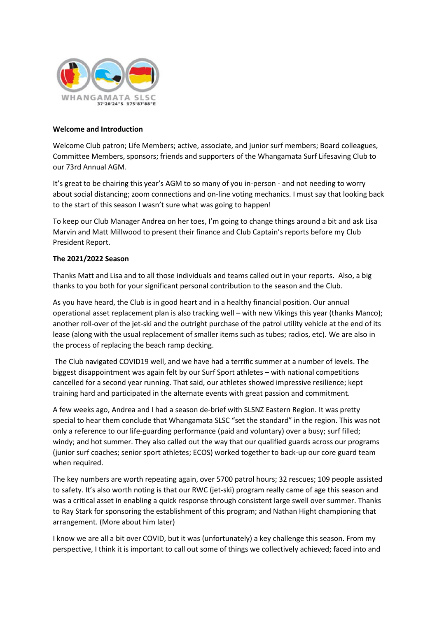

#### **Welcome and Introduction**

Welcome Club patron; Life Members; active, associate, and junior surf members; Board colleagues, Committee Members, sponsors; friends and supporters of the Whangamata Surf Lifesaving Club to our 73rd Annual AGM.

It's great to be chairing this year's AGM to so many of you in-person - and not needing to worry about social distancing; zoom connections and on-line voting mechanics. I must say that looking back to the start of this season I wasn't sure what was going to happen!

To keep our Club Manager Andrea on her toes, I'm going to change things around a bit and ask Lisa Marvin and Matt Millwood to present their finance and Club Captain's reports before my Club President Report.

# **The 2021/2022 Season**

Thanks Matt and Lisa and to all those individuals and teams called out in your reports. Also, a big thanks to you both for your significant personal contribution to the season and the Club.

As you have heard, the Club is in good heart and in a healthy financial position. Our annual operational asset replacement plan is also tracking well – with new Vikings this year (thanks Manco); another roll-over of the jet-ski and the outright purchase of the patrol utility vehicle at the end of its lease (along with the usual replacement of smaller items such as tubes; radios, etc). We are also in the process of replacing the beach ramp decking.

The Club navigated COVID19 well, and we have had a terrific summer at a number of levels. The biggest disappointment was again felt by our Surf Sport athletes – with national competitions cancelled for a second year running. That said, our athletes showed impressive resilience; kept training hard and participated in the alternate events with great passion and commitment.

A few weeks ago, Andrea and I had a season de-brief with SLSNZ Eastern Region. It was pretty special to hear them conclude that Whangamata SLSC "set the standard" in the region. This was not only a reference to our life-guarding performance (paid and voluntary) over a busy; surf filled; windy; and hot summer. They also called out the way that our qualified guards across our programs (junior surf coaches; senior sport athletes; ECOS) worked together to back-up our core guard team when required.

The key numbers are worth repeating again, over 5700 patrol hours; 32 rescues; 109 people assisted to safety. It's also worth noting is that our RWC (jet-ski) program really came of age this season and was a critical asset in enabling a quick response through consistent large swell over summer. Thanks to Ray Stark for sponsoring the establishment of this program; and Nathan Hight championing that arrangement. (More about him later)

I know we are all a bit over COVID, but it was (unfortunately) a key challenge this season. From my perspective, I think it is important to call out some of things we collectively achieved; faced into and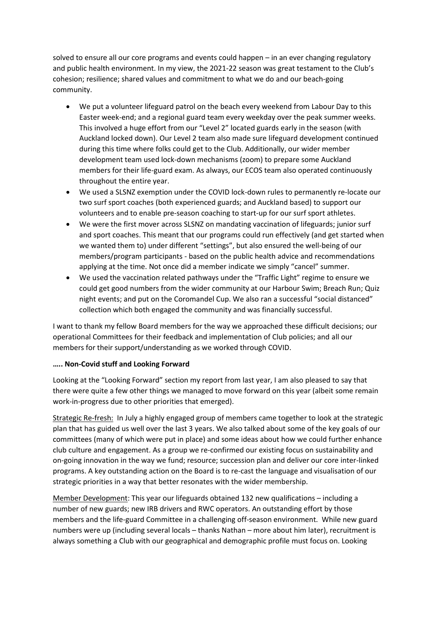solved to ensure all our core programs and events could happen – in an ever changing regulatory and public health environment. In my view, the 2021-22 season was great testament to the Club's cohesion; resilience; shared values and commitment to what we do and our beach-going community.

- We put a volunteer lifeguard patrol on the beach every weekend from Labour Day to this Easter week-end; and a regional guard team every weekday over the peak summer weeks. This involved a huge effort from our "Level 2" located guards early in the season (with Auckland locked down). Our Level 2 team also made sure lifeguard development continued during this time where folks could get to the Club. Additionally, our wider member development team used lock-down mechanisms (zoom) to prepare some Auckland members for their life-guard exam. As always, our ECOS team also operated continuously throughout the entire year.
- We used a SLSNZ exemption under the COVID lock-down rules to permanently re-locate our two surf sport coaches (both experienced guards; and Auckland based) to support our volunteers and to enable pre-season coaching to start-up for our surf sport athletes.
- We were the first mover across SLSNZ on mandating vaccination of lifeguards; junior surf and sport coaches. This meant that our programs could run effectively (and get started when we wanted them to) under different "settings", but also ensured the well-being of our members/program participants - based on the public health advice and recommendations applying at the time. Not once did a member indicate we simply "cancel" summer.
- We used the vaccination related pathways under the "Traffic Light" regime to ensure we could get good numbers from the wider community at our Harbour Swim; Breach Run; Quiz night events; and put on the Coromandel Cup. We also ran a successful "social distanced" collection which both engaged the community and was financially successful.

I want to thank my fellow Board members for the way we approached these difficult decisions; our operational Committees for their feedback and implementation of Club policies; and all our members for their support/understanding as we worked through COVID.

#### **….. Non-Covid stuff and Looking Forward**

Looking at the "Looking Forward" section my report from last year, I am also pleased to say that there were quite a few other things we managed to move forward on this year (albeit some remain work-in-progress due to other priorities that emerged).

Strategic Re-fresh: In July a highly engaged group of members came together to look at the strategic plan that has guided us well over the last 3 years. We also talked about some of the key goals of our committees (many of which were put in place) and some ideas about how we could further enhance club culture and engagement. As a group we re-confirmed our existing focus on sustainability and on-going innovation in the way we fund; resource; succession plan and deliver our core inter-linked programs. A key outstanding action on the Board is to re-cast the language and visualisation of our strategic priorities in a way that better resonates with the wider membership.

Member Development: This year our lifeguards obtained 132 new qualifications – including a number of new guards; new IRB drivers and RWC operators. An outstanding effort by those members and the life-guard Committee in a challenging off-season environment. While new guard numbers were up (including several locals – thanks Nathan – more about him later), recruitment is always something a Club with our geographical and demographic profile must focus on. Looking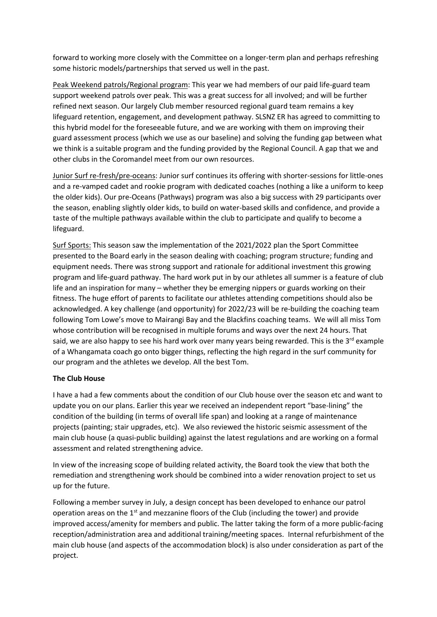forward to working more closely with the Committee on a longer-term plan and perhaps refreshing some historic models/partnerships that served us well in the past.

Peak Weekend patrols/Regional program: This year we had members of our paid life-guard team support weekend patrols over peak. This was a great success for all involved; and will be further refined next season. Our largely Club member resourced regional guard team remains a key lifeguard retention, engagement, and development pathway. SLSNZ ER has agreed to committing to this hybrid model for the foreseeable future, and we are working with them on improving their guard assessment process (which we use as our baseline) and solving the funding gap between what we think is a suitable program and the funding provided by the Regional Council. A gap that we and other clubs in the Coromandel meet from our own resources.

Junior Surf re-fresh/pre-oceans: Junior surf continues its offering with shorter-sessions for little-ones and a re-vamped cadet and rookie program with dedicated coaches (nothing a like a uniform to keep the older kids). Our pre-Oceans (Pathways) program was also a big success with 29 participants over the season, enabling slightly older kids, to build on water-based skills and confidence, and provide a taste of the multiple pathways available within the club to participate and qualify to become a lifeguard.

Surf Sports: This season saw the implementation of the 2021/2022 plan the Sport Committee presented to the Board early in the season dealing with coaching; program structure; funding and equipment needs. There was strong support and rationale for additional investment this growing program and life-guard pathway. The hard work put in by our athletes all summer is a feature of club life and an inspiration for many – whether they be emerging nippers or guards working on their fitness. The huge effort of parents to facilitate our athletes attending competitions should also be acknowledged. A key challenge (and opportunity) for 2022/23 will be re-building the coaching team following Tom Lowe's move to Mairangi Bay and the Blackfins coaching teams. We will all miss Tom whose contribution will be recognised in multiple forums and ways over the next 24 hours. That said, we are also happy to see his hard work over many years being rewarded. This is the  $3^{rd}$  example of a Whangamata coach go onto bigger things, reflecting the high regard in the surf community for our program and the athletes we develop. All the best Tom.

# **The Club House**

I have a had a few comments about the condition of our Club house over the season etc and want to update you on our plans. Earlier this year we received an independent report "base-lining" the condition of the building (in terms of overall life span) and looking at a range of maintenance projects (painting; stair upgrades, etc). We also reviewed the historic seismic assessment of the main club house (a quasi-public building) against the latest regulations and are working on a formal assessment and related strengthening advice.

In view of the increasing scope of building related activity, the Board took the view that both the remediation and strengthening work should be combined into a wider renovation project to set us up for the future.

Following a member survey in July, a design concept has been developed to enhance our patrol operation areas on the  $1<sup>st</sup>$  and mezzanine floors of the Club (including the tower) and provide improved access/amenity for members and public. The latter taking the form of a more public-facing reception/administration area and additional training/meeting spaces. Internal refurbishment of the main club house (and aspects of the accommodation block) is also under consideration as part of the project.